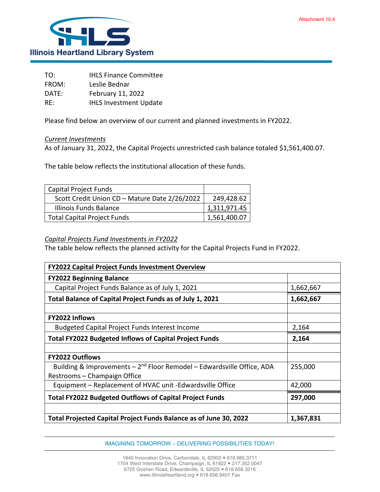

| TO:   | <b>IHLS Finance Committee</b> |
|-------|-------------------------------|
| FROM: | Leslie Bednar                 |
| DATE: | February 11, 2022             |
| RE:   | <b>IHLS Investment Update</b> |

Please find below an overview of our current and planned investments in FY2022.

## *Current Investments*

As of January 31, 2022, the Capital Projects unrestricted cash balance totaled \$1,561,400.07.

The table below reflects the institutional allocation of these funds.

| <b>Capital Project Funds</b>                  |                      |
|-----------------------------------------------|----------------------|
| Scott Credit Union CD - Mature Date 2/26/2022 | 249,428.62           |
| Illinois Funds Balance                        | <u>1,311,971</u> .45 |
| <b>Total Capital Project Funds</b>            | 1,561,400.07         |

## *Capital Projects Fund Investments in FY2022*

The table below reflects the planned activity for the Capital Projects Fund in FY2022.

| FY2022 Capital Project Funds Investment Overview                                                                   |           |  |
|--------------------------------------------------------------------------------------------------------------------|-----------|--|
| <b>FY2022 Beginning Balance</b>                                                                                    |           |  |
| Capital Project Funds Balance as of July 1, 2021                                                                   | 1,662,667 |  |
| Total Balance of Capital Project Funds as of July 1, 2021                                                          | 1,662,667 |  |
| FY2022 Inflows                                                                                                     |           |  |
| <b>Budgeted Capital Project Funds Interest Income</b>                                                              | 2,164     |  |
| <b>Total FY2022 Budgeted Inflows of Capital Project Funds</b>                                                      | 2,164     |  |
|                                                                                                                    |           |  |
| <b>FY2022 Outflows</b>                                                                                             |           |  |
| Building & Improvements - 2 <sup>nd</sup> Floor Remodel - Edwardsville Office, ADA<br>Restrooms - Champaign Office | 255,000   |  |
| Equipment - Replacement of HVAC unit -Edwardsville Office                                                          | 42,000    |  |
| <b>Total FY2022 Budgeted Outflows of Capital Project Funds</b>                                                     | 297,000   |  |
|                                                                                                                    |           |  |
| Total Projected Capital Project Funds Balance as of June 30, 2022                                                  | 1,367,831 |  |

IMAGINING TOMORROW ~ DELIVERING POSSIBILITIES TODAY!